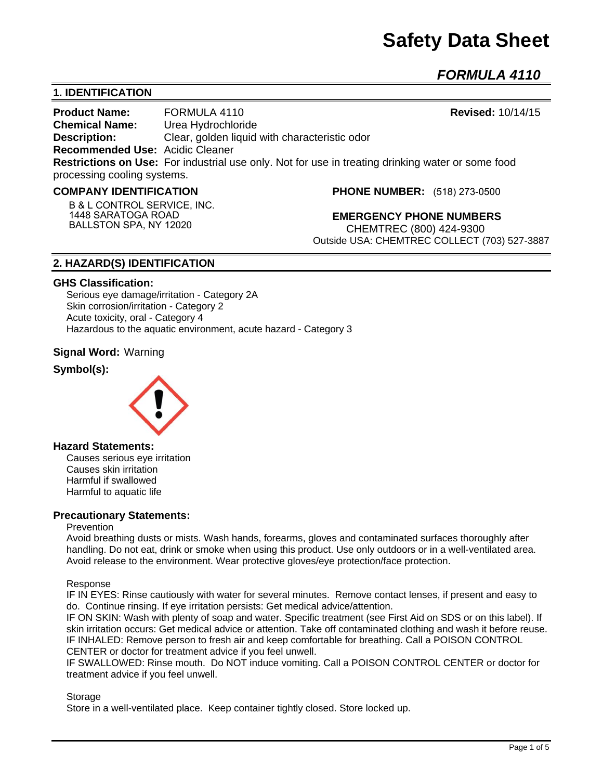# **Safety Data Sheet**

*FORMULA 4110* 

# **1. IDENTIFICATION**

**Product Name:** FORMULA 4110 **Revised:** 10/14/15 **Chemical Name:** Urea Hydrochloride **Description:** Clear, golden liquid with characteristic odor **Recommended Use:** Acidic Cleaner **Restrictions on Use:** For industrial use only. Not for use in treating drinking water or some food processing cooling systems.

## **COMPANY IDENTIFICATION**

**B & L CONTROL SERVICE, INC. 1448 SARATOGA ROAD BALLSTON SPA, NY 12020**

**PHONE NUMBER:** (518) 273-0500

**EMERGENCY PHONE NUMBERS** CHEMTREC (800) 424-9300 Outside USA: CHEMTREC COLLECT (703) 527-3887

# **2. HAZARD(S) IDENTIFICATION**

## **GHS Classification:**

Serious eye damage/irritation - Category 2A Skin corrosion/irritation - Category 2 Acute toxicity, oral - Category 4 Hazardous to the aquatic environment, acute hazard - Category 3

# **Signal Word:** Warning

# **Symbol(s):**



# **Hazard Statements:**

Causes serious eye irritation Causes skin irritation Harmful if swallowed Harmful to aquatic life

# **Precautionary Statements:**

## Prevention

Avoid breathing dusts or mists. Wash hands, forearms, gloves and contaminated surfaces thoroughly after handling. Do not eat, drink or smoke when using this product. Use only outdoors or in a well-ventilated area. Avoid release to the environment. Wear protective gloves/eye protection/face protection.

## Response

IF IN EYES: Rinse cautiously with water for several minutes. Remove contact lenses, if present and easy to do. Continue rinsing. If eye irritation persists: Get medical advice/attention.

IF ON SKIN: Wash with plenty of soap and water. Specific treatment (see First Aid on SDS or on this label). If skin irritation occurs: Get medical advice or attention. Take off contaminated clothing and wash it before reuse. IF INHALED: Remove person to fresh air and keep comfortable for breathing. Call a POISON CONTROL CENTER or doctor for treatment advice if you feel unwell.

IF SWALLOWED: Rinse mouth. Do NOT induce vomiting. Call a POISON CONTROL CENTER or doctor for treatment advice if you feel unwell.

## **Storage**

Store in a well-ventilated place. Keep container tightly closed. Store locked up.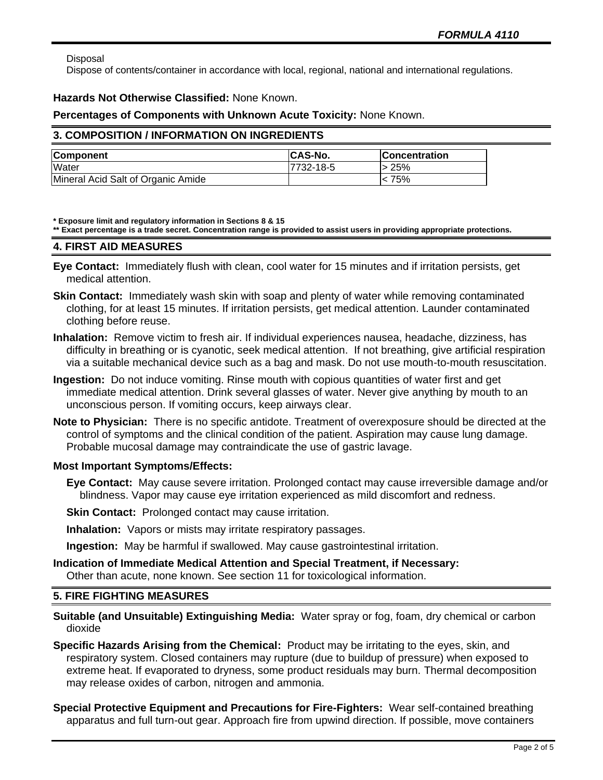Disposal

Dispose of contents/container in accordance with local, regional, national and international regulations.

## **Hazards Not Otherwise Classified:** None Known.

## **Percentages of Components with Unknown Acute Toxicity:** None Known.

## **3. COMPOSITION / INFORMATION ON INGREDIENTS**

| <b>Component</b>                   | <b>CAS-No.</b> | <b>Concentration</b> |
|------------------------------------|----------------|----------------------|
| <b>Water</b>                       | 7732-18-5      | <b>25%</b>           |
| Mineral Acid Salt of Organic Amide |                | < 75%                |

**\* Exposure limit and regulatory information in Sections 8 & 15**

**\*\* Exact percentage is a trade secret. Concentration range is provided to assist users in providing appropriate protections.**

## **4. FIRST AID MEASURES**

- **Eye Contact:** Immediately flush with clean, cool water for 15 minutes and if irritation persists, get medical attention.
- **Skin Contact:** Immediately wash skin with soap and plenty of water while removing contaminated clothing, for at least 15 minutes. If irritation persists, get medical attention. Launder contaminated clothing before reuse.
- **Inhalation:** Remove victim to fresh air. If individual experiences nausea, headache, dizziness, has difficulty in breathing or is cyanotic, seek medical attention. If not breathing, give artificial respiration via a suitable mechanical device such as a bag and mask. Do not use mouth-to-mouth resuscitation.
- **Ingestion:** Do not induce vomiting. Rinse mouth with copious quantities of water first and get immediate medical attention. Drink several glasses of water. Never give anything by mouth to an unconscious person. If vomiting occurs, keep airways clear.
- **Note to Physician:** There is no specific antidote. Treatment of overexposure should be directed at the control of symptoms and the clinical condition of the patient. Aspiration may cause lung damage. Probable mucosal damage may contraindicate the use of gastric lavage.

# **Most Important Symptoms/Effects:**

- **Eye Contact:** May cause severe irritation. Prolonged contact may cause irreversible damage and/or blindness. Vapor may cause eye irritation experienced as mild discomfort and redness.
- **Skin Contact:** Prolonged contact may cause irritation.
- **Inhalation:** Vapors or mists may irritate respiratory passages.
- **Ingestion:** May be harmful if swallowed. May cause gastrointestinal irritation.
- **Indication of Immediate Medical Attention and Special Treatment, if Necessary:** Other than acute, none known. See section 11 for toxicological information.

# **5. FIRE FIGHTING MEASURES**

- **Suitable (and Unsuitable) Extinguishing Media:** Water spray or fog, foam, dry chemical or carbon dioxide
- **Specific Hazards Arising from the Chemical:** Product may be irritating to the eyes, skin, and respiratory system. Closed containers may rupture (due to buildup of pressure) when exposed to extreme heat. If evaporated to dryness, some product residuals may burn. Thermal decomposition may release oxides of carbon, nitrogen and ammonia.
- **Special Protective Equipment and Precautions for Fire-Fighters:** Wear self-contained breathing apparatus and full turn-out gear. Approach fire from upwind direction. If possible, move containers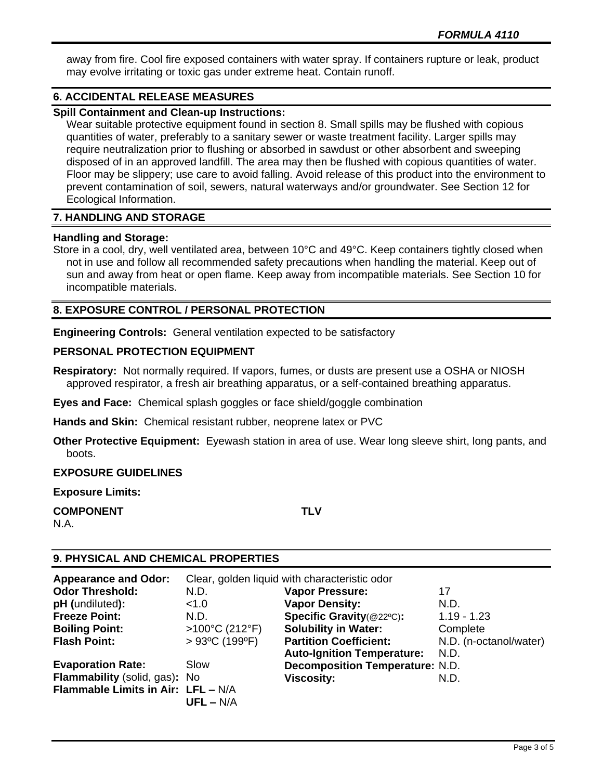away from fire. Cool fire exposed containers with water spray. If containers rupture or leak, product may evolve irritating or toxic gas under extreme heat. Contain runoff.

# **6. ACCIDENTAL RELEASE MEASURES**

# **Spill Containment and Clean-up Instructions:**

Wear suitable protective equipment found in section 8. Small spills may be flushed with copious quantities of water, preferably to a sanitary sewer or waste treatment facility. Larger spills may require neutralization prior to flushing or absorbed in sawdust or other absorbent and sweeping disposed of in an approved landfill. The area may then be flushed with copious quantities of water. Floor may be slippery; use care to avoid falling. Avoid release of this product into the environment to prevent contamination of soil, sewers, natural waterways and/or groundwater. See Section 12 for Ecological Information.

# **7. HANDLING AND STORAGE**

# **Handling and Storage:**

Store in a cool, dry, well ventilated area, between 10°C and 49°C. Keep containers tightly closed when not in use and follow all recommended safety precautions when handling the material. Keep out of sun and away from heat or open flame. Keep away from incompatible materials. See Section 10 for incompatible materials.

# **8. EXPOSURE CONTROL / PERSONAL PROTECTION**

**Engineering Controls:** General ventilation expected to be satisfactory

# **PERSONAL PROTECTION EQUIPMENT**

**Respiratory:** Not normally required. If vapors, fumes, or dusts are present use a OSHA or NIOSH approved respirator, a fresh air breathing apparatus, or a self-contained breathing apparatus.

**Eyes and Face:** Chemical splash goggles or face shield/goggle combination

**Hands and Skin:** Chemical resistant rubber, neoprene latex or PVC

**Other Protective Equipment:** Eyewash station in area of use. Wear long sleeve shirt, long pants, and boots.

**EXPOSURE GUIDELINES**

**Exposure Limits:** 

**COMPONENT TLV** N.A.

# **9. PHYSICAL AND CHEMICAL PROPERTIES**

| <b>Appearance and Odor:</b>        | Clear, golden liquid with characteristic odor |                                        |                        |
|------------------------------------|-----------------------------------------------|----------------------------------------|------------------------|
| <b>Odor Threshold:</b>             | N.D.                                          | <b>Vapor Pressure:</b>                 | 17                     |
| pH (undiluted):                    | < 1.0                                         | <b>Vapor Density:</b>                  | N.D.                   |
| <b>Freeze Point:</b>               | N.D.                                          | Specific Gravity(@22°C):               | $1.19 - 1.23$          |
| <b>Boiling Point:</b>              | >100°C (212°F)                                | <b>Solubility in Water:</b>            | Complete               |
| <b>Flash Point:</b>                | $>93^{\circ}$ C (199 $^{\circ}$ F)            | <b>Partition Coefficient:</b>          | N.D. (n-octanol/water) |
|                                    |                                               | <b>Auto-Ignition Temperature:</b>      | N.D.                   |
| <b>Evaporation Rate:</b>           | Slow                                          | <b>Decomposition Temperature: N.D.</b> |                        |
| Flammability (solid, gas): No      |                                               | <b>Viscosity:</b>                      | N.D.                   |
| Flammable Limits in Air: LFL - N/A |                                               |                                        |                        |
|                                    | $UFL - N/A$                                   |                                        |                        |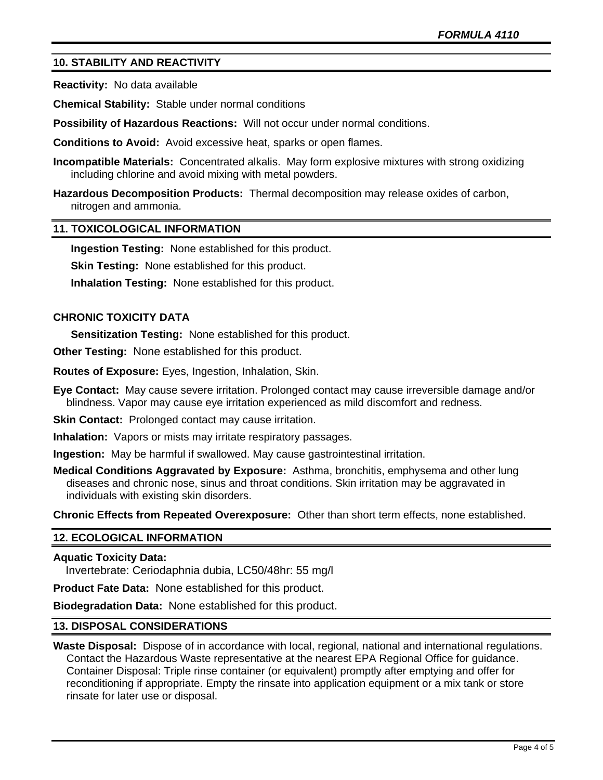# **10. STABILITY AND REACTIVITY**

**Reactivity:** No data available

**Chemical Stability:** Stable under normal conditions

**Possibility of Hazardous Reactions:** Will not occur under normal conditions.

**Conditions to Avoid:** Avoid excessive heat, sparks or open flames.

**Incompatible Materials:** Concentrated alkalis. May form explosive mixtures with strong oxidizing including chlorine and avoid mixing with metal powders.

**Hazardous Decomposition Products:** Thermal decomposition may release oxides of carbon, nitrogen and ammonia.

## **11. TOXICOLOGICAL INFORMATION**

**Ingestion Testing:** None established for this product.

**Skin Testing: None established for this product.** 

**Inhalation Testing:** None established for this product.

## **CHRONIC TOXICITY DATA**

**Sensitization Testing:** None established for this product.

**Other Testing:** None established for this product.

**Routes of Exposure:** Eyes, Ingestion, Inhalation, Skin.

**Eye Contact:** May cause severe irritation. Prolonged contact may cause irreversible damage and/or blindness. Vapor may cause eye irritation experienced as mild discomfort and redness.

**Skin Contact:** Prolonged contact may cause irritation.

**Inhalation:** Vapors or mists may irritate respiratory passages.

**Ingestion:** May be harmful if swallowed. May cause gastrointestinal irritation.

**Medical Conditions Aggravated by Exposure:** Asthma, bronchitis, emphysema and other lung diseases and chronic nose, sinus and throat conditions. Skin irritation may be aggravated in individuals with existing skin disorders.

**Chronic Effects from Repeated Overexposure:** Other than short term effects, none established.

## **12. ECOLOGICAL INFORMATION**

## **Aquatic Toxicity Data:**

Invertebrate: Ceriodaphnia dubia, LC50/48hr: 55 mg/l

**Product Fate Data:** None established for this product.

**Biodegradation Data:** None established for this product.

## **13. DISPOSAL CONSIDERATIONS**

**Waste Disposal:** Dispose of in accordance with local, regional, national and international regulations. Contact the Hazardous Waste representative at the nearest EPA Regional Office for guidance. Container Disposal: Triple rinse container (or equivalent) promptly after emptying and offer for reconditioning if appropriate. Empty the rinsate into application equipment or a mix tank or store rinsate for later use or disposal.